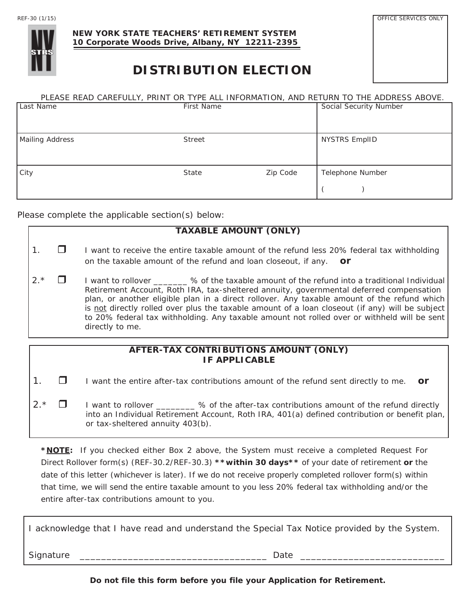OFFICE SERVICES ONLY



#### **NEW YORK STATE TEACHERS' RETIREMENT SYSTEM 10 Corporate Woods Drive, Albany, NY 12211-2395**

# **DISTRIBUTION ELECTION**

#### PLEASE READ CAREFULLY, PRINT OR TYPE ALL INFORMATION, AND RETURN TO THE ADDRESS ABOVE.

| Last Name       | First Name    |          | Social Security Number |
|-----------------|---------------|----------|------------------------|
| Mailing Address | <b>Street</b> |          | <b>NYSTRS EmpIID</b>   |
| City            | State         | Zip Code | Telephone Number       |

Please complete the applicable section(s) below:

### **TAXABLE AMOUNT (ONLY)**

- 1.  $\Box$  I want to receive the entire taxable amount of the refund less 20% federal tax withholding on the taxable amount of the refund and loan closeout, if any. *or*
- $2.*$   $\Box$  I want to rollover  $\_\_\_\_\$ % of the taxable amount of the refund into a traditional Individual Retirement Account, Roth IRA, tax-sheltered annuity, governmental deferred compensation plan, or another eligible plan in a direct rollover. Any taxable amount of the refund which is not directly rolled over plus the taxable amount of a loan closeout (if any) will be subject to 20% federal tax withholding. Any taxable amount not rolled over or withheld will be sent directly to me.

#### **AFTER-TAX CONTRIBUTIONS AMOUNT (ONLY) IF APPLICABLE**

1.  $\Box$  I want the entire after-tax contributions amount of the refund sent directly to me.  $\overline{or}$ 

 $2.*$   $\Box$  I want to rollover  $\Box$  % of the after-tax contributions amount of the refund directly into an Individual Retirement Account, Roth IRA, 401(a) defined contribution or benefit plan, or tax-sheltered annuity 403(b).

**\*NOTE:** If you checked either Box 2 above, the System must receive a completed Request For Direct Rollover form(s) (REF-30.2/REF-30.3) **\*\*within 30 days\*\*** of your date of retirement *or* the date of this letter (whichever is later). If we do not receive properly completed rollover form(s) within that time, we will send the entire taxable amount to you less 20% federal tax withholding and/or the entire after-tax contributions amount to you.

I acknowledge that I have read and understand the Special Tax Notice provided by the System. Signature \_\_\_\_\_\_\_\_\_\_\_\_\_\_\_\_\_\_\_\_\_\_\_\_\_\_\_\_\_\_\_\_\_\_\_ Date \_\_\_\_\_\_\_\_\_\_\_\_\_\_\_\_\_\_\_\_\_\_\_\_\_\_\_

**Do not file this form before you file your Application for Retirement.**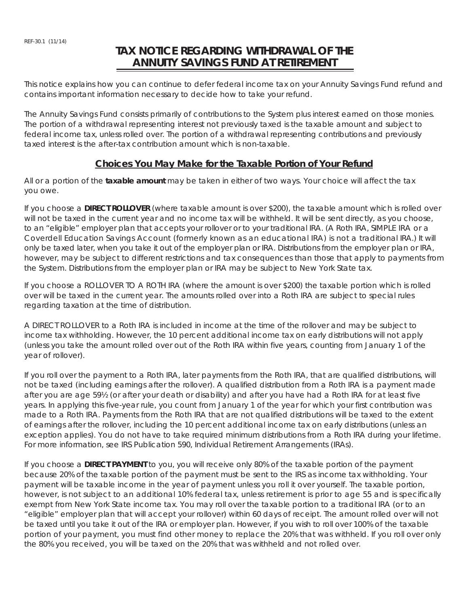## **TAX NOTICE REGARDING WITHDRAWAL OF THE ANNUITY SAVINGS FUND AT RETIREMENT**

This notice explains how you can continue to defer federal income tax on your Annuity Savings Fund refund and contains important information necessary to decide how to take your refund.

The Annuity Savings Fund consists primarily of contributions to the System plus interest earned on those monies. The portion of a withdrawal representing interest not previously taxed is the taxable amount and subject to federal income tax, unless rolled over. The portion of a withdrawal representing contributions and previously taxed interest is the after-tax contribution amount which is non-taxable.

#### **Choices You May Make for the Taxable Portion of Your Refund**

All or a portion of the **taxable amount** may be taken in either of two ways. Your choice will affect the tax you owe.

If you choose a **DIRECT ROLLOVER** (where taxable amount is over \$200), the taxable amount which is rolled over will not be taxed in the current year and no income tax will be withheld. It will be sent directly, as you choose, to an "eligible" employer plan that accepts your rollover or to your traditional IRA. (A Roth IRA, SIMPLE IRA or a Coverdell Education Savings Account (formerly known as an educational IRA) is not a traditional IRA.) It will only be taxed later, when you take it out of the employer plan or IRA. Distributions from the employer plan or IRA, however, may be subject to different restrictions and tax consequences than those that apply to payments from the System. Distributions from the employer plan or IRA may be subject to New York State tax.

If you choose a ROLLOVER TO A ROTH IRA (where the amount is over \$200) the taxable portion which is rolled over will be taxed in the current year. The amounts rolled over into a Roth IRA are subject to special rules regarding taxation at the time of distribution.

A DIRECT ROLLOVER to a Roth IRA is included in income at the time of the rollover and may be subject to income tax withholding. However, the 10 percent additional income tax on early distributions will not apply (unless you take the amount rolled over out of the Roth IRA within five years, counting from January 1 of the year of rollover).

If you roll over the payment to a Roth IRA, later payments from the Roth IRA, that are qualified distributions, will not be taxed (including earnings after the rollover). A qualified distribution from a Roth IRA is a payment made after you are age 59½ (or after your death or disability) and after you have had a Roth IRA for at least five years. In applying this five-year rule, you count from January 1 of the year for which your first contribution was made to a Roth IRA. Payments from the Roth IRA that are not qualified distributions will be taxed to the extent of earnings after the rollover, including the 10 percent additional income tax on early distributions (unless an exception applies). You do not have to take required minimum distributions from a Roth IRA during your lifetime. For more information, see IRS Publication 590, Individual Retirement Arrangements (IRAs).

If you choose a **DIRECT PAYMENT** to you, you will receive only 80% of the taxable portion of the payment because 20% of the taxable portion of the payment must be sent to the IRS as income tax withholding. Your payment will be taxable income in the year of payment unless you roll it over yourself. The taxable portion, however, is not subject to an additional 10% federal tax, unless retirement is prior to age 55 and is specifically exempt from New York State income tax. You may roll over the taxable portion to a traditional IRA (or to an "eligible" employer plan that will accept your rollover) within 60 days of receipt. The amount rolled over will not be taxed until you take it out of the IRA or employer plan. However, if you wish to roll over 100% of the taxable portion of your payment, you must find other money to replace the 20% that was withheld. If you roll over only the 80% you received, you will be taxed on the 20% that was withheld and not rolled over.